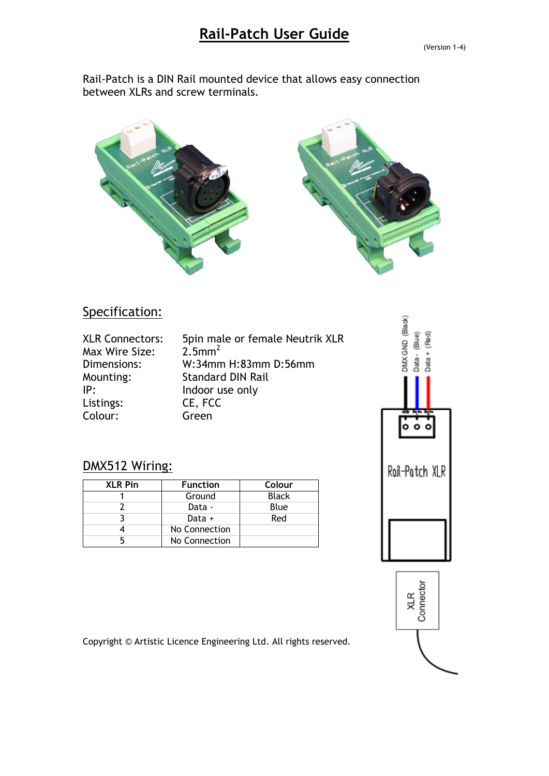Rail-Patch is a DIN Rail mounted device that allows easy connection between XLRs and screw terminals.



#### Specification:

DMX512 Wiring:

| <b>XLR Connectors:</b> | 5pin male or female Neutrik XLR |
|------------------------|---------------------------------|
| Max Wire Size:         | $2.5$ mm <sup>2</sup>           |
| Dimensions:            | W:34mm H:83mm D:56mm            |
| Mounting:              | <b>Standard DIN Rail</b>        |
| IP:                    | Indoor use only                 |
| Listings:              | CE, FCC                         |
| Colour:                | Green                           |

**XLR Pin Function Colour** 1 Ground Black 2 Data - Blue 3 Data + Red

4 No Connection 5 No Connection

# DMX GND (Black) Data-(Blue)  $Data + (Red)$ ۰  $\circ$ Rail-Patch XLR



Copyright © Artistic Licence Engineering Ltd. All rights reserved.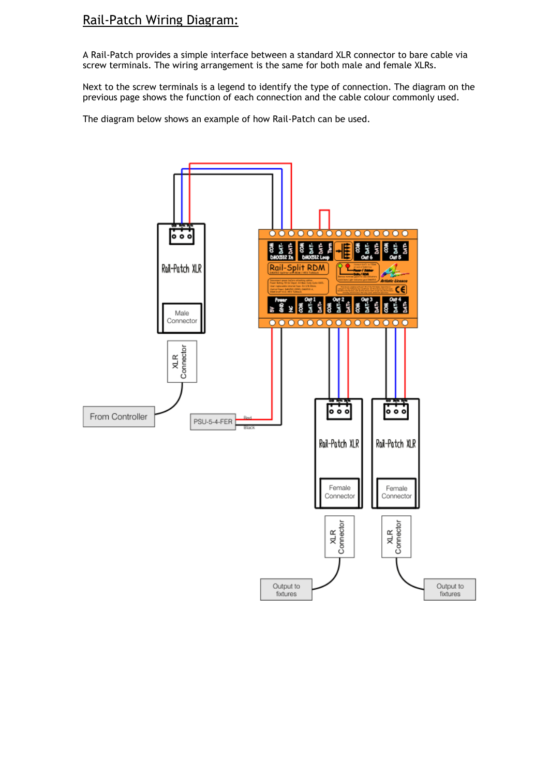## Rail-Patch Wiring Diagram:

A Rail-Patch provides a simple interface between a standard XLR connector to bare cable via screw terminals. The wiring arrangement is the same for both male and female XLRs.

Next to the screw terminals is a legend to identify the type of connection. The diagram on the previous page shows the function of each connection and the cable colour commonly used.

The diagram below shows an example of how Rail-Patch can be used.